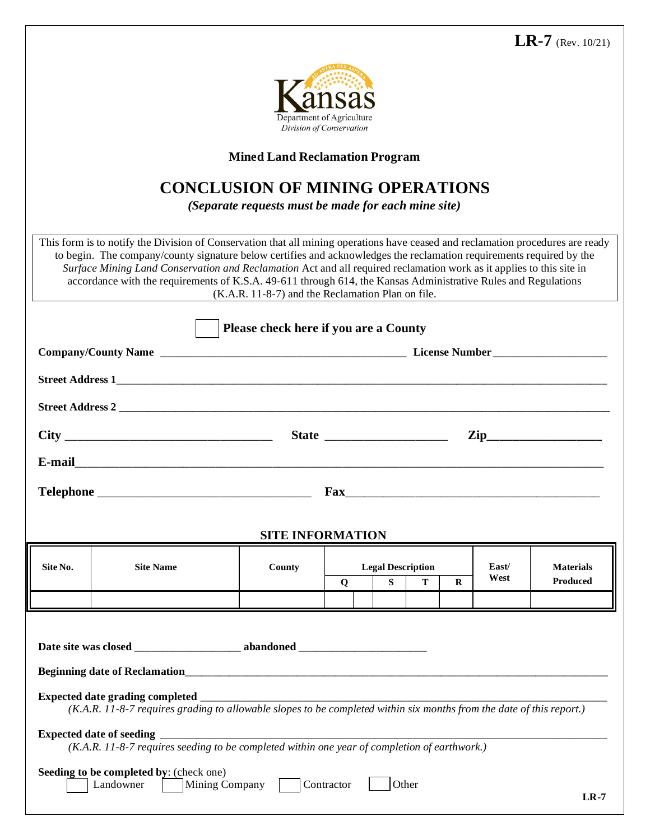

**Mined Land Reclamation Program**

## **CONCLUSION OF MINING OPERATIONS**

*(Separate requests must be made for each mine site)*

This form is to notify the Division of Conservation that all mining operations have ceased and reclamation procedures are ready to begin. The company/county signature below certifies and acknowledges the reclamation requirements required by the *Surface Mining Land Conservation and Reclamation* Act and all required reclamation work as it applies to this site in accordance with the requirements of K.S.A. 49-611 through 614, the Kansas Administrative Rules and Regulations (K.A.R. 11-8-7) and the Reclamation Plan on file.

|                         |                                                                                                                      | Please check here if you are a County |            |                          |   |          |       |                  |  |  |
|-------------------------|----------------------------------------------------------------------------------------------------------------------|---------------------------------------|------------|--------------------------|---|----------|-------|------------------|--|--|
|                         |                                                                                                                      |                                       |            |                          |   |          |       |                  |  |  |
|                         |                                                                                                                      |                                       |            |                          |   |          |       |                  |  |  |
|                         |                                                                                                                      |                                       |            |                          |   |          |       |                  |  |  |
|                         |                                                                                                                      |                                       |            |                          |   |          |       |                  |  |  |
|                         |                                                                                                                      |                                       |            |                          |   |          |       |                  |  |  |
|                         |                                                                                                                      |                                       |            |                          |   |          |       |                  |  |  |
|                         |                                                                                                                      |                                       |            |                          |   |          |       |                  |  |  |
| <b>SITE INFORMATION</b> |                                                                                                                      |                                       |            |                          |   |          |       |                  |  |  |
| Site No.                | <b>Site Name</b>                                                                                                     | County                                |            | <b>Legal Description</b> |   |          | East/ | <b>Materials</b> |  |  |
|                         |                                                                                                                      |                                       | Q          | $S_{-}$                  | T | $\bf{R}$ | West  | <b>Produced</b>  |  |  |
|                         |                                                                                                                      |                                       |            |                          |   |          |       |                  |  |  |
|                         |                                                                                                                      |                                       |            |                          |   |          |       |                  |  |  |
|                         |                                                                                                                      |                                       |            |                          |   |          |       |                  |  |  |
|                         |                                                                                                                      |                                       |            |                          |   |          |       |                  |  |  |
|                         | (K.A.R. 11-8-7 requires grading to allowable slopes to be completed within six months from the date of this report.) |                                       |            |                          |   |          |       |                  |  |  |
|                         | (K.A.R. 11-8-7 requires seeding to be completed within one year of completion of earthwork.)                         |                                       |            |                          |   |          |       |                  |  |  |
|                         | Seeding to be completed by: (check one)<br>Landowner Mining Company                                                  |                                       | Contractor | Other                    |   |          |       | $LR-7$           |  |  |